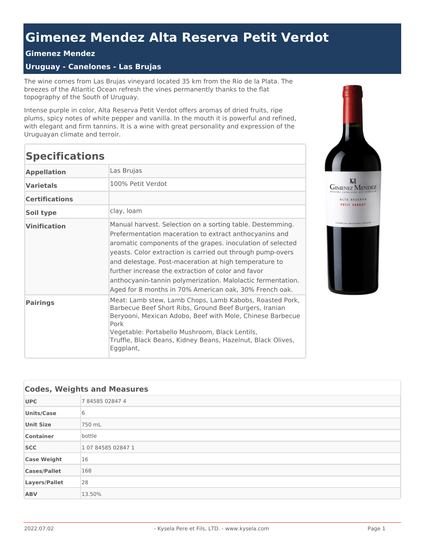## **Gimenez Mendez Alta Reserva Petit Verdot**

## **Gimenez Mendez**

## **Uruguay - Canelones - Las Brujas**

The wine comes from Las Brujas vineyard located 35 km from the Río de la Plata. The breezes of the Atlantic Ocean refresh the vines permanently thanks to the flat topography of the South of Uruguay.

Intense purple in color, Alta Reserva Petit Verdot offers aromas of dried fruits, ripe plums, spicy notes of white pepper and vanilla. In the mouth it is powerful and refined, with elegant and firm tannins. It is a wine with great personality and expression of the Uruguayan climate and terroir.

## **Specifications**

| <b>Appellation</b>    | Las Brujas                                                                                                                                                                                                                                                                                                                                                                                                                                                                              |
|-----------------------|-----------------------------------------------------------------------------------------------------------------------------------------------------------------------------------------------------------------------------------------------------------------------------------------------------------------------------------------------------------------------------------------------------------------------------------------------------------------------------------------|
| <b>Varietals</b>      | 100% Petit Verdot                                                                                                                                                                                                                                                                                                                                                                                                                                                                       |
| <b>Certifications</b> |                                                                                                                                                                                                                                                                                                                                                                                                                                                                                         |
| Soil type             | clay, loam                                                                                                                                                                                                                                                                                                                                                                                                                                                                              |
| <b>Vinification</b>   | Manual harvest. Selection on a sorting table. Destemming.<br>Prefermentation maceration to extract anthocyanins and<br>aromatic components of the grapes. inoculation of selected<br>yeasts. Color extraction is carried out through pump-overs<br>and delestage. Post-maceration at high temperature to<br>further increase the extraction of color and favor<br>anthocyanin-tannin polymerization. Malolactic fermentation.<br>Aged for 8 months in 70% American oak, 30% French oak. |
| <b>Pairings</b>       | Meat: Lamb stew, Lamb Chops, Lamb Kabobs, Roasted Pork,<br>Barbecue Beef Short Ribs, Ground Beef Burgers, Iranian<br>Beryooni, Mexican Adobo, Beef with Mole, Chinese Barbecue<br>Pork<br>Vegetable: Portabello Mushroom, Black Lentils,<br>Truffle, Black Beans, Kidney Beans, Hazelnut, Black Olives,<br>Eggplant,                                                                                                                                                                    |

| <b>Codes, Weights and Measures</b> |                    |  |
|------------------------------------|--------------------|--|
| <b>UPC</b>                         | 784585028474       |  |
| <b>Units/Case</b>                  | 6                  |  |
| <b>Unit Size</b>                   | 750 mL             |  |
| <b>Container</b>                   | bottle             |  |
| <b>SCC</b>                         | 1 07 84585 02847 1 |  |
| <b>Case Weight</b>                 | 16                 |  |
| <b>Cases/Pallet</b>                | 168                |  |
| Layers/Pallet                      | 28                 |  |
| <b>ABV</b>                         | 13.50%             |  |

**KI**<br>GIMENEZ MENDEZ

ALTA RESERVA PETIT VERDOT